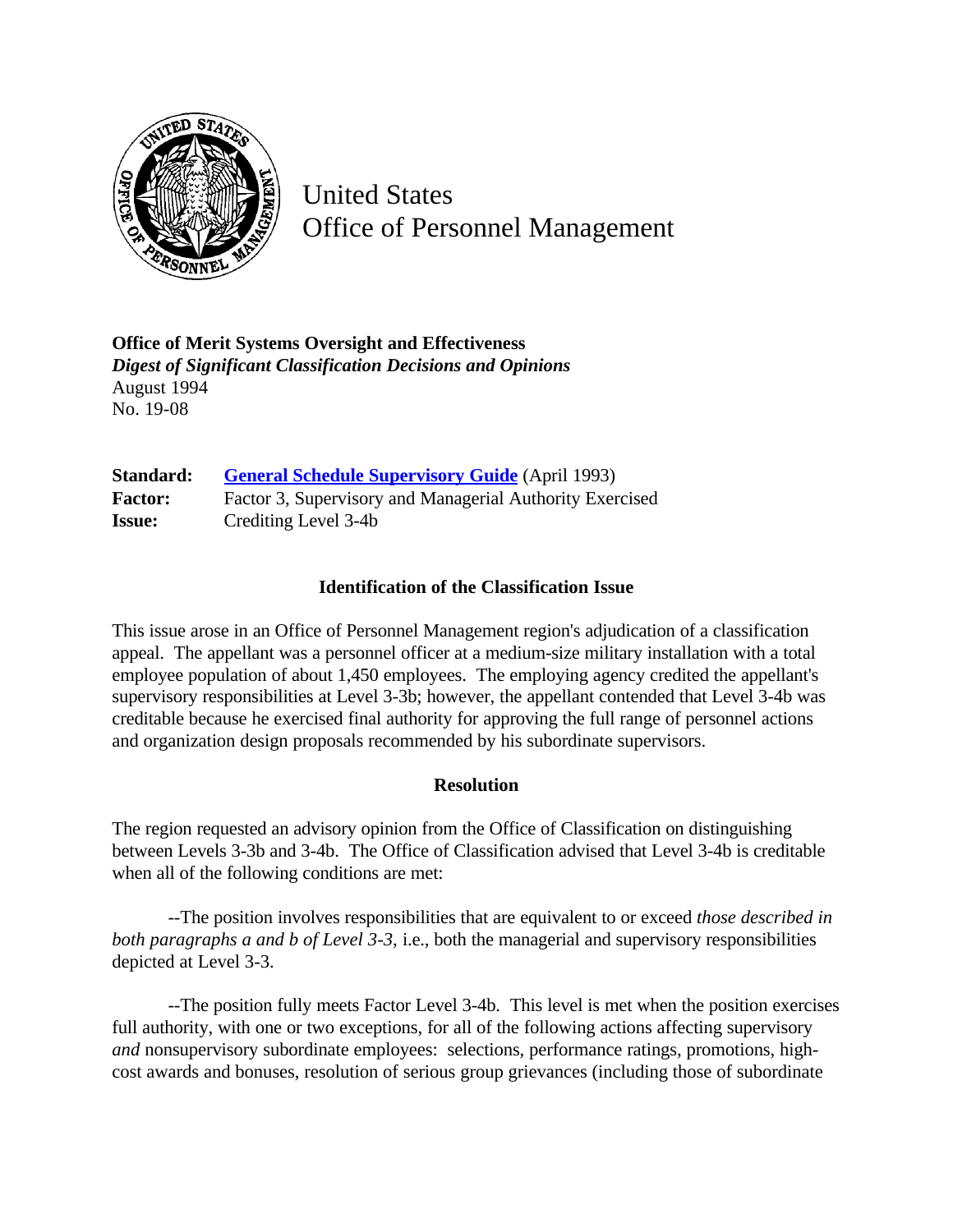

United States Office of Personnel Management

**Office of Merit Systems Oversight and Effectiveness** *Digest of Significant Classification Decisions and Opinions* August 1994 No. 19-08

**Standard: [General Schedule Supervisory Guide](http://www.opm.gov/hr/fedclass/gssg.pdf)** (April 1993) Factor: Factor 3, Supervisory and Managerial Authority Exercised **Issue:** Crediting Level 3-4b

## **Identification of the Classification Issue**

This issue arose in an Office of Personnel Management region's adjudication of a classification appeal. The appellant was a personnel officer at a medium-size military installation with a total employee population of about 1,450 employees. The employing agency credited the appellant's supervisory responsibilities at Level 3-3b; however, the appellant contended that Level 3-4b was creditable because he exercised final authority for approving the full range of personnel actions and organization design proposals recommended by his subordinate supervisors.

## **Resolution**

The region requested an advisory opinion from the Office of Classification on distinguishing between Levels 3-3b and 3-4b. The Office of Classification advised that Level 3-4b is creditable when all of the following conditions are met:

--The position involves responsibilities that are equivalent to or exceed *those described in both paragraphs a and b of Level 3-3*, i.e., both the managerial and supervisory responsibilities depicted at Level 3-3.

--The position fully meets Factor Level 3-4b. This level is met when the position exercises full authority, with one or two exceptions, for all of the following actions affecting supervisory *and* nonsupervisory subordinate employees: selections, performance ratings, promotions, highcost awards and bonuses, resolution of serious group grievances (including those of subordinate